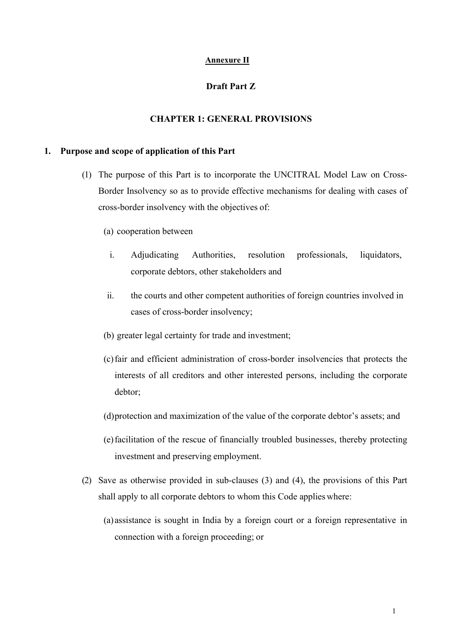## **Annexure II**

## **Draft Part Z**

## **CHAPTER 1: GENERAL PROVISIONS**

## **1. Purpose and scope of application of this Part**

- (1) The purpose of this Part is to incorporate the UNCITRAL Model Law on Cross-Border Insolvency so as to provide effective mechanisms for dealing with cases of cross-border insolvency with the objectives of:
	- (a) cooperation between
		- i. Adjudicating Authorities, resolution professionals, liquidators, corporate debtors, other stakeholders and
	- ii. the courts and other competent authorities of foreign countries involved in cases of cross-border insolvency;
	- (b) greater legal certainty for trade and investment;
	- (c)fair and efficient administration of cross-border insolvencies that protects the interests of all creditors and other interested persons, including the corporate debtor;
	- (d)protection and maximization of the value of the corporate debtor's assets; and
	- (e)facilitation of the rescue of financially troubled businesses, thereby protecting investment and preserving employment.
- (2) Save as otherwise provided in sub-clauses (3) and (4), the provisions of this Part shall apply to all corporate debtors to whom this Code applies where:
	- (a) assistance is sought in India by a foreign court or a foreign representative in connection with a foreign proceeding; or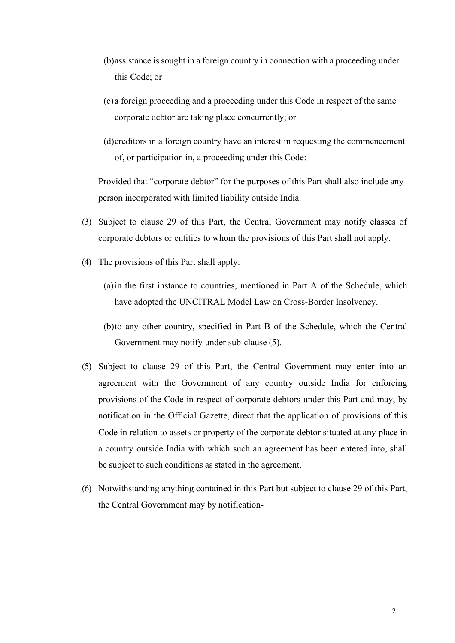- (b)assistance is sought in a foreign country in connection with a proceeding under this Code; or
- (c) a foreign proceeding and a proceeding under this Code in respect of the same corporate debtor are taking place concurrently; or
- (d)creditors in a foreign country have an interest in requesting the commencement of, or participation in, a proceeding under this Code:

Provided that "corporate debtor" for the purposes of this Part shall also include any person incorporated with limited liability outside India.

- (3) Subject to clause 29 of this Part, the Central Government may notify classes of corporate debtors or entities to whom the provisions of this Part shall not apply.
- (4) The provisions of this Part shall apply:
	- (a)in the first instance to countries, mentioned in Part A of the Schedule, which have adopted the UNCITRAL Model Law on Cross-Border Insolvency.
	- (b)to any other country, specified in Part B of the Schedule, which the Central Government may notify under sub-clause (5).
- (5) Subject to clause 29 of this Part, the Central Government may enter into an agreement with the Government of any country outside India for enforcing provisions of the Code in respect of corporate debtors under this Part and may, by notification in the Official Gazette, direct that the application of provisions of this Code in relation to assets or property of the corporate debtor situated at any place in a country outside India with which such an agreement has been entered into, shall be subject to such conditions as stated in the agreement.
- (6) Notwithstanding anything contained in this Part but subject to clause 29 of this Part, the Central Government may by notification-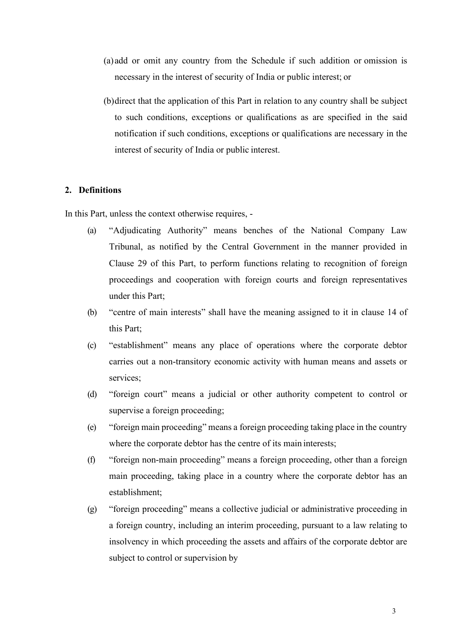- (a) add or omit any country from the Schedule if such addition or omission is necessary in the interest of security of India or public interest; or
- (b)direct that the application of this Part in relation to any country shall be subject to such conditions, exceptions or qualifications as are specified in the said notification if such conditions, exceptions or qualifications are necessary in the interest of security of India or public interest.

#### **2. Definitions**

In this Part, unless the context otherwise requires, -

- (a) "Adjudicating Authority" means benches of the National Company Law Tribunal, as notified by the Central Government in the manner provided in Clause 29 of this Part, to perform functions relating to recognition of foreign proceedings and cooperation with foreign courts and foreign representatives under this Part;
- (b) "centre of main interests" shall have the meaning assigned to it in clause 14 of this Part;
- (c) "establishment" means any place of operations where the corporate debtor carries out a non-transitory economic activity with human means and assets or services;
- (d) "foreign court" means a judicial or other authority competent to control or supervise a foreign proceeding;
- (e) "foreign main proceeding" means a foreign proceeding taking place in the country where the corporate debtor has the centre of its main interests;
- (f) "foreign non-main proceeding" means a foreign proceeding, other than a foreign main proceeding, taking place in a country where the corporate debtor has an establishment;
- (g) "foreign proceeding" means a collective judicial or administrative proceeding in a foreign country, including an interim proceeding, pursuant to a law relating to insolvency in which proceeding the assets and affairs of the corporate debtor are subject to control or supervision by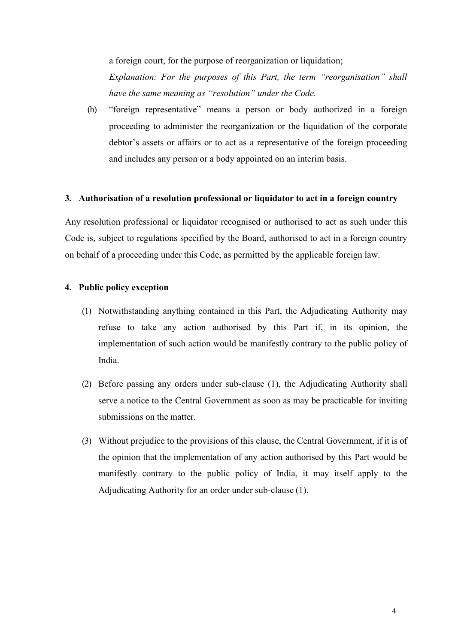a foreign court, for the purpose of reorganization or liquidation;

*Explanation: For the purposes of this Part, the term "reorganisation" shall have the same meaning as "resolution" under the Code.*

(h) "foreign representative" means a person or body authorized in a foreign proceeding to administer the reorganization or the liquidation of the corporate debtor's assets or affairs or to act as a representative of the foreign proceeding and includes any person or a body appointed on an interim basis.

## **3. Authorisation of a resolution professional or liquidator to act in a foreign country**

Any resolution professional or liquidator recognised or authorised to act as such under this Code is, subject to regulations specified by the Board, authorised to act in a foreign country on behalf of a proceeding under this Code, as permitted by the applicable foreign law.

## **4. Public policy exception**

- (1) Notwithstanding anything contained in this Part, the Adjudicating Authority may refuse to take any action authorised by this Part if, in its opinion, the implementation of such action would be manifestly contrary to the public policy of India.
- (2) Before passing any orders under sub-clause (1), the Adjudicating Authority shall serve a notice to the Central Government as soon as may be practicable for inviting submissions on the matter.
- (3) Without prejudice to the provisions of this clause, the Central Government, if it is of the opinion that the implementation of any action authorised by this Part would be manifestly contrary to the public policy of India, it may itself apply to the Adjudicating Authority for an order under sub-clause (1).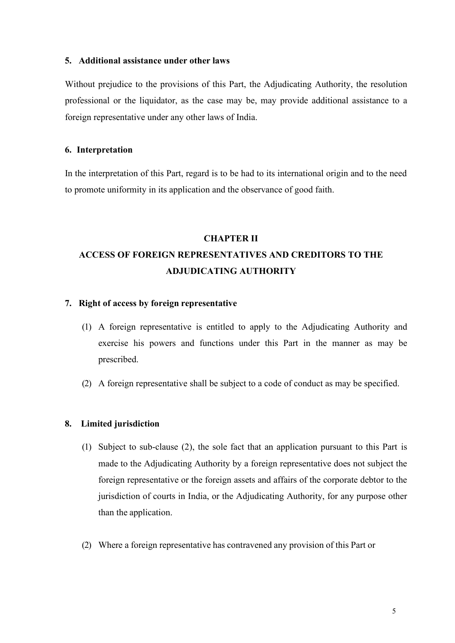#### **5. Additional assistance under other laws**

Without prejudice to the provisions of this Part, the Adjudicating Authority, the resolution professional or the liquidator, as the case may be, may provide additional assistance to a foreign representative under any other laws of India.

### **6. Interpretation**

In the interpretation of this Part, regard is to be had to its international origin and to the need to promote uniformity in its application and the observance of good faith.

#### **CHAPTER II**

# **ACCESS OF FOREIGN REPRESENTATIVES AND CREDITORS TO THE ADJUDICATING AUTHORITY**

### **7. Right of access by foreign representative**

- (1) A foreign representative is entitled to apply to the Adjudicating Authority and exercise his powers and functions under this Part in the manner as may be prescribed.
- (2) A foreign representative shall be subject to a code of conduct as may be specified.

### **8. Limited jurisdiction**

- (1) Subject to sub-clause (2), the sole fact that an application pursuant to this Part is made to the Adjudicating Authority by a foreign representative does not subject the foreign representative or the foreign assets and affairs of the corporate debtor to the jurisdiction of courts in India, or the Adjudicating Authority, for any purpose other than the application.
- (2) Where a foreign representative has contravened any provision of this Part or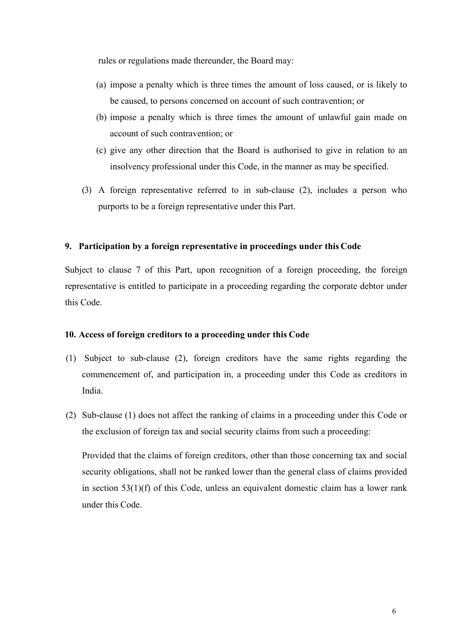rules or regulations made thereunder, the Board may:

- (a) impose a penalty which is three times the amount of loss caused, or is likely to be caused, to persons concerned on account of such contravention; or
- (b) impose a penalty which is three times the amount of unlawful gain made on account of such contravention; or
- (c) give any other direction that the Board is authorised to give in relation to an insolvency professional under this Code, in the manner as may be specified.
- (3) A foreign representative referred to in sub-clause (2), includes a person who purports to be a foreign representative under this Part.

#### **9. Participation by a foreign representative in proceedings under this Code**

Subject to clause 7 of this Part, upon recognition of a foreign proceeding, the foreign representative is entitled to participate in a proceeding regarding the corporate debtor under this Code.

### **10. Access of foreign creditors to a proceeding under this Code**

- (1) Subject to sub-clause (2), foreign creditors have the same rights regarding the commencement of, and participation in, a proceeding under this Code as creditors in India.
- (2) Sub-clause (1) does not affect the ranking of claims in a proceeding under this Code or the exclusion of foreign tax and social security claims from such a proceeding:

Provided that the claims of foreign creditors, other than those concerning tax and social security obligations, shall not be ranked lower than the general class of claims provided in section  $53(1)(f)$  of this Code, unless an equivalent domestic claim has a lower rank under this Code.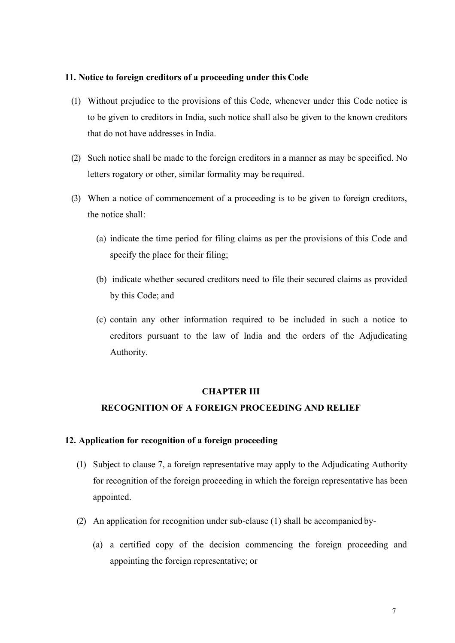#### **11. Notice to foreign creditors of a proceeding under this Code**

- (1) Without prejudice to the provisions of this Code, whenever under this Code notice is to be given to creditors in India, such notice shall also be given to the known creditors that do not have addresses in India.
- (2) Such notice shall be made to the foreign creditors in a manner as may be specified. No letters rogatory or other, similar formality may be required.
- (3) When a notice of commencement of a proceeding is to be given to foreign creditors, the notice shall:
	- (a) indicate the time period for filing claims as per the provisions of this Code and specify the place for their filing;
	- (b) indicate whether secured creditors need to file their secured claims as provided by this Code; and
	- (c) contain any other information required to be included in such a notice to creditors pursuant to the law of India and the orders of the Adjudicating Authority.

#### **CHAPTER III**

#### **RECOGNITION OF A FOREIGN PROCEEDING AND RELIEF**

### **12. Application for recognition of a foreign proceeding**

- (1) Subject to clause 7, a foreign representative may apply to the Adjudicating Authority for recognition of the foreign proceeding in which the foreign representative has been appointed.
- (2) An application for recognition under sub-clause (1) shall be accompanied by-
	- (a) a certified copy of the decision commencing the foreign proceeding and appointing the foreign representative; or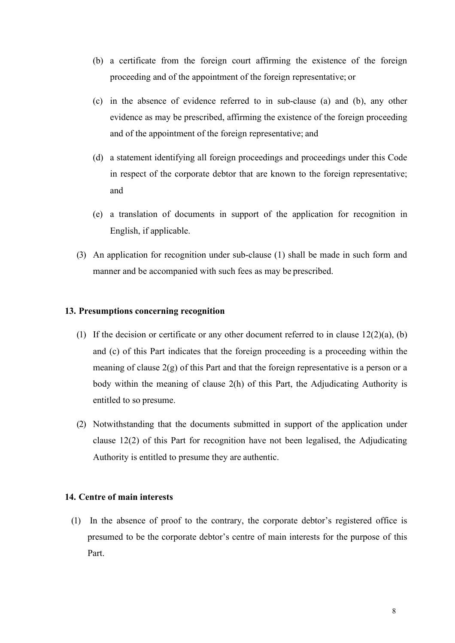- (b) a certificate from the foreign court affirming the existence of the foreign proceeding and of the appointment of the foreign representative; or
- (c) in the absence of evidence referred to in sub-clause (a) and (b), any other evidence as may be prescribed, affirming the existence of the foreign proceeding and of the appointment of the foreign representative; and
- (d) a statement identifying all foreign proceedings and proceedings under this Code in respect of the corporate debtor that are known to the foreign representative; and
- (e) a translation of documents in support of the application for recognition in English, if applicable.
- (3) An application for recognition under sub-clause (1) shall be made in such form and manner and be accompanied with such fees as may be prescribed.

## **13. Presumptions concerning recognition**

- (1) If the decision or certificate or any other document referred to in clause  $12(2)(a)$ , (b) and (c) of this Part indicates that the foreign proceeding is a proceeding within the meaning of clause  $2(g)$  of this Part and that the foreign representative is a person or a body within the meaning of clause 2(h) of this Part, the Adjudicating Authority is entitled to so presume.
- (2) Notwithstanding that the documents submitted in support of the application under clause 12(2) of this Part for recognition have not been legalised, the Adjudicating Authority is entitled to presume they are authentic.

## **14. Centre of main interests**

(1) In the absence of proof to the contrary, the corporate debtor's registered office is presumed to be the corporate debtor's centre of main interests for the purpose of this Part.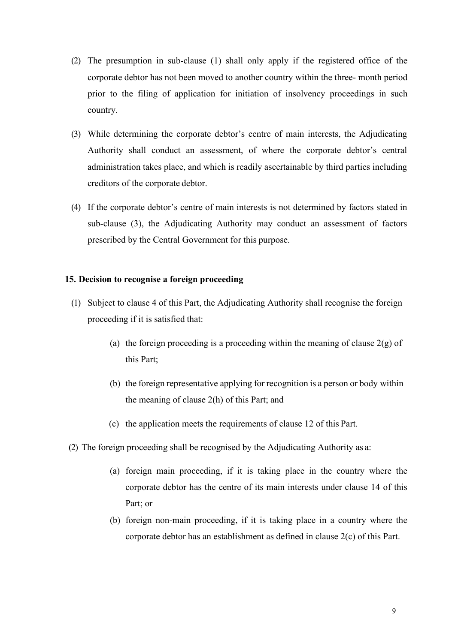- (2) The presumption in sub-clause (1) shall only apply if the registered office of the corporate debtor has not been moved to another country within the three- month period prior to the filing of application for initiation of insolvency proceedings in such country.
- (3) While determining the corporate debtor's centre of main interests, the Adjudicating Authority shall conduct an assessment, of where the corporate debtor's central administration takes place, and which is readily ascertainable by third parties including creditors of the corporate debtor.
- (4) If the corporate debtor's centre of main interests is not determined by factors stated in sub-clause (3), the Adjudicating Authority may conduct an assessment of factors prescribed by the Central Government for this purpose.

## **15. Decision to recognise a foreign proceeding**

- (1) Subject to clause 4 of this Part, the Adjudicating Authority shall recognise the foreign proceeding if it is satisfied that:
	- (a) the foreign proceeding is a proceeding within the meaning of clause  $2(g)$  of this Part;
	- (b) the foreign representative applying for recognition is a person or body within the meaning of clause 2(h) of this Part; and
	- (c) the application meets the requirements of clause 12 of this Part.
- (2) The foreign proceeding shall be recognised by the Adjudicating Authority as a:
	- (a) foreign main proceeding, if it is taking place in the country where the corporate debtor has the centre of its main interests under clause 14 of this Part; or
	- (b) foreign non-main proceeding, if it is taking place in a country where the corporate debtor has an establishment as defined in clause 2(c) of this Part.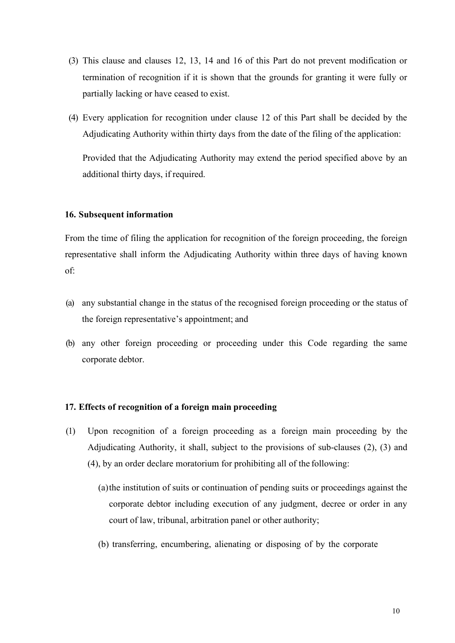- (3) This clause and clauses 12, 13, 14 and 16 of this Part do not prevent modification or termination of recognition if it is shown that the grounds for granting it were fully or partially lacking or have ceased to exist.
- (4) Every application for recognition under clause 12 of this Part shall be decided by the Adjudicating Authority within thirty days from the date of the filing of the application:

Provided that the Adjudicating Authority may extend the period specified above by an additional thirty days, if required.

## **16. Subsequent information**

From the time of filing the application for recognition of the foreign proceeding, the foreign representative shall inform the Adjudicating Authority within three days of having known of:

- (a) any substantial change in the status of the recognised foreign proceeding or the status of the foreign representative's appointment; and
- (b) any other foreign proceeding or proceeding under this Code regarding the same corporate debtor.

## **17. Effects of recognition of a foreign main proceeding**

- (1) Upon recognition of a foreign proceeding as a foreign main proceeding by the Adjudicating Authority, it shall, subject to the provisions of sub-clauses (2), (3) and (4), by an order declare moratorium for prohibiting all of the following:
	- (a)the institution of suits or continuation of pending suits or proceedings against the corporate debtor including execution of any judgment, decree or order in any court of law, tribunal, arbitration panel or other authority;
	- (b) transferring, encumbering, alienating or disposing of by the corporate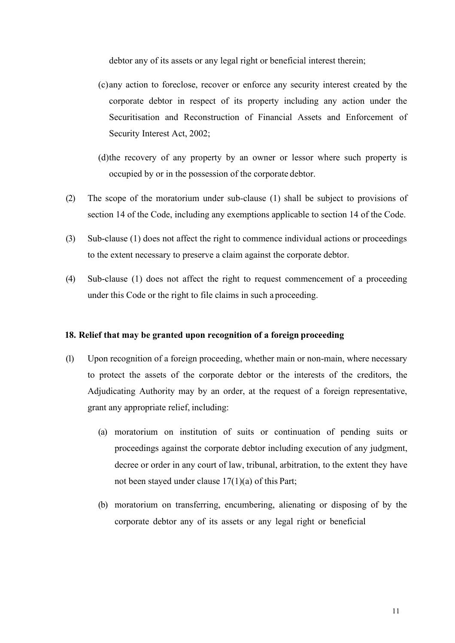debtor any of its assets or any legal right or beneficial interest therein;

- (c)any action to foreclose, recover or enforce any security interest created by the corporate debtor in respect of its property including any action under the Securitisation and Reconstruction of Financial Assets and Enforcement of Security Interest Act, 2002;
- (d)the recovery of any property by an owner or lessor where such property is occupied by or in the possession of the corporate debtor.
- (2) The scope of the moratorium under sub-clause (1) shall be subject to provisions of section 14 of the Code, including any exemptions applicable to section 14 of the Code.
- (3) Sub-clause (1) does not affect the right to commence individual actions or proceedings to the extent necessary to preserve a claim against the corporate debtor.
- (4) Sub-clause (1) does not affect the right to request commencement of a proceeding under this Code or the right to file claims in such a proceeding.

## **18. Relief that may be granted upon recognition of a foreign proceeding**

- (1) Upon recognition of a foreign proceeding, whether main or non-main, where necessary to protect the assets of the corporate debtor or the interests of the creditors, the Adjudicating Authority may by an order, at the request of a foreign representative, grant any appropriate relief, including:
	- (a) moratorium on institution of suits or continuation of pending suits or proceedings against the corporate debtor including execution of any judgment, decree or order in any court of law, tribunal, arbitration, to the extent they have not been stayed under clause 17(1)(a) of this Part;
	- (b) moratorium on transferring, encumbering, alienating or disposing of by the corporate debtor any of its assets or any legal right or beneficial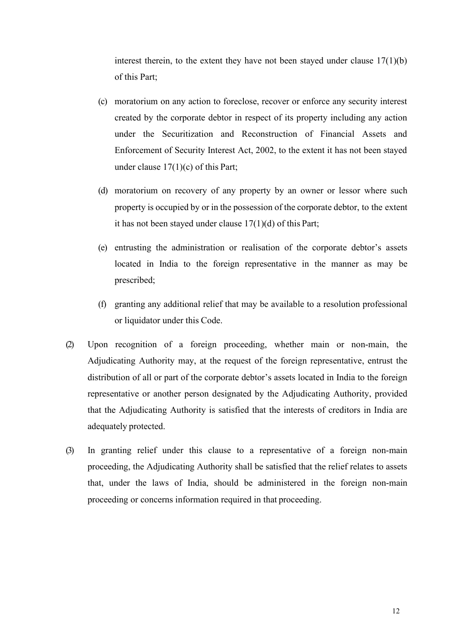interest therein, to the extent they have not been stayed under clause  $17(1)(b)$ of this Part;

- (c) moratorium on any action to foreclose, recover or enforce any security interest created by the corporate debtor in respect of its property including any action under the Securitization and Reconstruction of Financial Assets and Enforcement of Security Interest Act, 2002, to the extent it has not been stayed under clause  $17(1)(c)$  of this Part;
- (d) moratorium on recovery of any property by an owner or lessor where such property is occupied by or in the possession of the corporate debtor, to the extent it has not been stayed under clause 17(1)(d) of this Part;
- (e) entrusting the administration or realisation of the corporate debtor's assets located in India to the foreign representative in the manner as may be prescribed;
- (f) granting any additional relief that may be available to a resolution professional or liquidator under this Code.
- (2) Upon recognition of a foreign proceeding, whether main or non-main, the Adjudicating Authority may, at the request of the foreign representative, entrust the distribution of all or part of the corporate debtor's assets located in India to the foreign representative or another person designated by the Adjudicating Authority, provided that the Adjudicating Authority is satisfied that the interests of creditors in India are adequately protected.
- (3) In granting relief under this clause to a representative of a foreign non-main proceeding, the Adjudicating Authority shall be satisfied that the relief relates to assets that, under the laws of India, should be administered in the foreign non-main proceeding or concerns information required in that proceeding.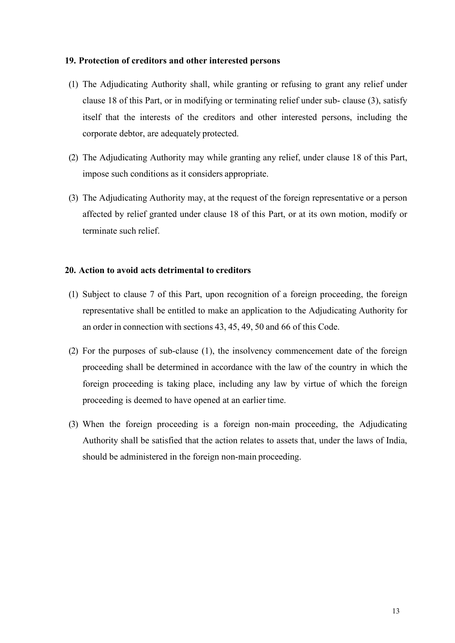#### **19. Protection of creditors and other interested persons**

- (1) The Adjudicating Authority shall, while granting or refusing to grant any relief under clause 18 of this Part, or in modifying or terminating relief under sub- clause (3), satisfy itself that the interests of the creditors and other interested persons, including the corporate debtor, are adequately protected.
- (2) The Adjudicating Authority may while granting any relief, under clause 18 of this Part, impose such conditions as it considers appropriate.
- (3) The Adjudicating Authority may, at the request of the foreign representative or a person affected by relief granted under clause 18 of this Part, or at its own motion, modify or terminate such relief.

## **20. Action to avoid acts detrimental to creditors**

- (1) Subject to clause 7 of this Part, upon recognition of a foreign proceeding, the foreign representative shall be entitled to make an application to the Adjudicating Authority for an order in connection with sections 43, 45, 49, 50 and 66 of this Code.
- (2) For the purposes of sub-clause (1), the insolvency commencement date of the foreign proceeding shall be determined in accordance with the law of the country in which the foreign proceeding is taking place, including any law by virtue of which the foreign proceeding is deemed to have opened at an earlier time.
- (3) When the foreign proceeding is a foreign non-main proceeding, the Adjudicating Authority shall be satisfied that the action relates to assets that, under the laws of India, should be administered in the foreign non-main proceeding.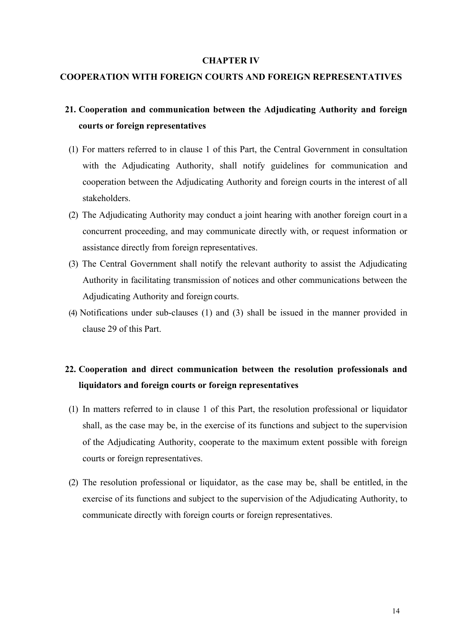#### **CHAPTER IV**

## **COOPERATION WITH FOREIGN COURTS AND FOREIGN REPRESENTATIVES**

# **21. Cooperation and communication between the Adjudicating Authority and foreign courts or foreign representatives**

- (1) For matters referred to in clause 1 of this Part, the Central Government in consultation with the Adjudicating Authority, shall notify guidelines for communication and cooperation between the Adjudicating Authority and foreign courts in the interest of all stakeholders.
- (2) The Adjudicating Authority may conduct a joint hearing with another foreign court in a concurrent proceeding, and may communicate directly with, or request information or assistance directly from foreign representatives.
- (3) The Central Government shall notify the relevant authority to assist the Adjudicating Authority in facilitating transmission of notices and other communications between the Adjudicating Authority and foreign courts.
- (4) Notifications under sub-clauses (1) and (3) shall be issued in the manner provided in clause 29 of this Part.

## **22. Cooperation and direct communication between the resolution professionals and liquidators and foreign courts or foreign representatives**

- (1) In matters referred to in clause 1 of this Part, the resolution professional or liquidator shall, as the case may be, in the exercise of its functions and subject to the supervision of the Adjudicating Authority, cooperate to the maximum extent possible with foreign courts or foreign representatives.
- (2) The resolution professional or liquidator, as the case may be, shall be entitled, in the exercise of its functions and subject to the supervision of the Adjudicating Authority, to communicate directly with foreign courts or foreign representatives.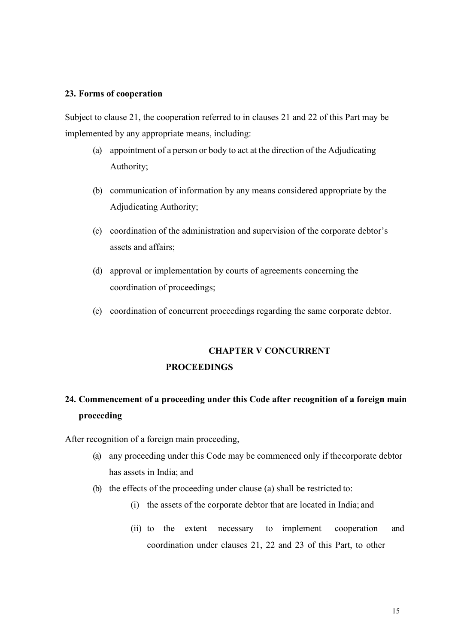### **23. Forms of cooperation**

Subject to clause 21, the cooperation referred to in clauses 21 and 22 of this Part may be implemented by any appropriate means, including:

- (a) appointment of a person or body to act at the direction of the Adjudicating Authority;
- (b) communication of information by any means considered appropriate by the Adjudicating Authority;
- (c) coordination of the administration and supervision of the corporate debtor's assets and affairs;
- (d) approval or implementation by courts of agreements concerning the coordination of proceedings;
- (e) coordination of concurrent proceedings regarding the same corporate debtor.

# **CHAPTER V CONCURRENT PROCEEDINGS**

# **24. Commencement of a proceeding under this Code after recognition of a foreign main proceeding**

After recognition of a foreign main proceeding,

- (a) any proceeding under this Code may be commenced only if thecorporate debtor has assets in India; and
- (b) the effects of the proceeding under clause (a) shall be restricted to:
	- (i) the assets of the corporate debtor that are located in India; and
	- (ii) to the extent necessary to implement cooperation and coordination under clauses 21, 22 and 23 of this Part, to other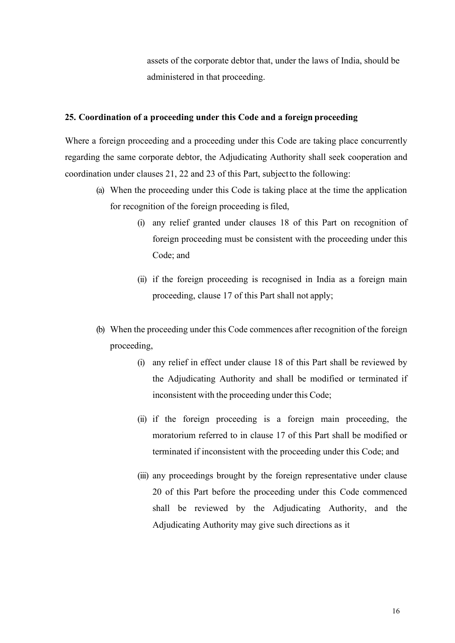assets of the corporate debtor that, under the laws of India, should be administered in that proceeding.

## **25. Coordination of a proceeding under this Code and a foreign proceeding**

Where a foreign proceeding and a proceeding under this Code are taking place concurrently regarding the same corporate debtor, the Adjudicating Authority shall seek cooperation and coordination under clauses 21, 22 and 23 of this Part, subjectto the following:

- (a) When the proceeding under this Code is taking place at the time the application for recognition of the foreign proceeding is filed,
	- (i) any relief granted under clauses 18 of this Part on recognition of foreign proceeding must be consistent with the proceeding under this Code; and
	- (ii) if the foreign proceeding is recognised in India as a foreign main proceeding, clause 17 of this Part shall not apply;
- (b) When the proceeding under this Code commences after recognition of the foreign proceeding,
	- (i) any relief in effect under clause 18 of this Part shall be reviewed by the Adjudicating Authority and shall be modified or terminated if inconsistent with the proceeding under this Code;
	- (ii) if the foreign proceeding is a foreign main proceeding, the moratorium referred to in clause 17 of this Part shall be modified or terminated if inconsistent with the proceeding under this Code; and
	- (iii) any proceedings brought by the foreign representative under clause 20 of this Part before the proceeding under this Code commenced shall be reviewed by the Adjudicating Authority, and the Adjudicating Authority may give such directions as it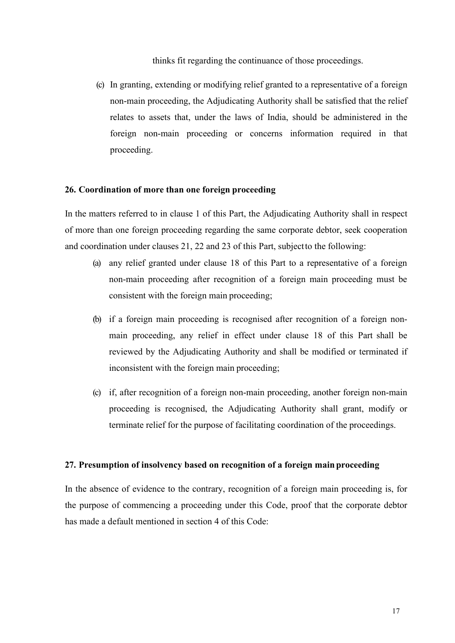thinks fit regarding the continuance of those proceedings.

(c) In granting, extending or modifying relief granted to a representative of a foreign non-main proceeding, the Adjudicating Authority shall be satisfied that the relief relates to assets that, under the laws of India, should be administered in the foreign non-main proceeding or concerns information required in that proceeding.

### **26. Coordination of more than one foreign proceeding**

In the matters referred to in clause 1 of this Part, the Adjudicating Authority shall in respect of more than one foreign proceeding regarding the same corporate debtor, seek cooperation and coordination under clauses 21, 22 and 23 of this Part, subjectto the following:

- (a) any relief granted under clause 18 of this Part to a representative of a foreign non-main proceeding after recognition of a foreign main proceeding must be consistent with the foreign main proceeding;
- (b) if a foreign main proceeding is recognised after recognition of a foreign nonmain proceeding, any relief in effect under clause 18 of this Part shall be reviewed by the Adjudicating Authority and shall be modified or terminated if inconsistent with the foreign main proceeding;
- (c) if, after recognition of a foreign non-main proceeding, another foreign non-main proceeding is recognised, the Adjudicating Authority shall grant, modify or terminate relief for the purpose of facilitating coordination of the proceedings.

## **27. Presumption of insolvency based on recognition of a foreign main proceeding**

In the absence of evidence to the contrary, recognition of a foreign main proceeding is, for the purpose of commencing a proceeding under this Code, proof that the corporate debtor has made a default mentioned in section 4 of this Code: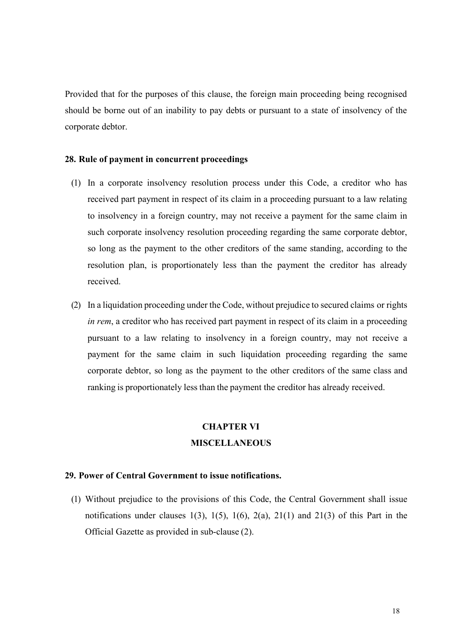Provided that for the purposes of this clause, the foreign main proceeding being recognised should be borne out of an inability to pay debts or pursuant to a state of insolvency of the corporate debtor.

## **28. Rule of payment in concurrent proceedings**

- (1) In a corporate insolvency resolution process under this Code, a creditor who has received part payment in respect of its claim in a proceeding pursuant to a law relating to insolvency in a foreign country, may not receive a payment for the same claim in such corporate insolvency resolution proceeding regarding the same corporate debtor, so long as the payment to the other creditors of the same standing, according to the resolution plan, is proportionately less than the payment the creditor has already received.
- (2) In a liquidation proceeding under the Code, without prejudice to secured claims or rights *in rem*, a creditor who has received part payment in respect of its claim in a proceeding pursuant to a law relating to insolvency in a foreign country, may not receive a payment for the same claim in such liquidation proceeding regarding the same corporate debtor, so long as the payment to the other creditors of the same class and ranking is proportionately less than the payment the creditor has already received.

# **CHAPTER VI MISCELLANEOUS**

### **29. Power of Central Government to issue notifications.**

(1) Without prejudice to the provisions of this Code, the Central Government shall issue notifications under clauses  $1(3)$ ,  $1(5)$ ,  $1(6)$ ,  $2(a)$ ,  $21(1)$  and  $21(3)$  of this Part in the Official Gazette as provided in sub-clause (2).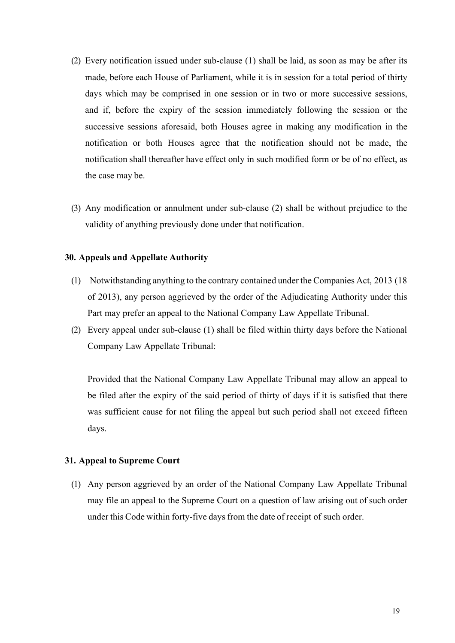- (2) Every notification issued under sub-clause (1) shall be laid, as soon as may be after its made, before each House of Parliament, while it is in session for a total period of thirty days which may be comprised in one session or in two or more successive sessions, and if, before the expiry of the session immediately following the session or the successive sessions aforesaid, both Houses agree in making any modification in the notification or both Houses agree that the notification should not be made, the notification shall thereafter have effect only in such modified form or be of no effect, as the case may be.
- (3) Any modification or annulment under sub-clause (2) shall be without prejudice to the validity of anything previously done under that notification.

## **30. Appeals and Appellate Authority**

- (1) Notwithstanding anything to the contrary contained under the Companies Act, 2013 (18 of 2013), any person aggrieved by the order of the Adjudicating Authority under this Part may prefer an appeal to the National Company Law Appellate Tribunal.
- (2) Every appeal under sub-clause (1) shall be filed within thirty days before the National Company Law Appellate Tribunal:

Provided that the National Company Law Appellate Tribunal may allow an appeal to be filed after the expiry of the said period of thirty of days if it is satisfied that there was sufficient cause for not filing the appeal but such period shall not exceed fifteen days.

## **31. Appeal to Supreme Court**

(1) Any person aggrieved by an order of the National Company Law Appellate Tribunal may file an appeal to the Supreme Court on a question of law arising out of such order under this Code within forty-five days from the date of receipt of such order.